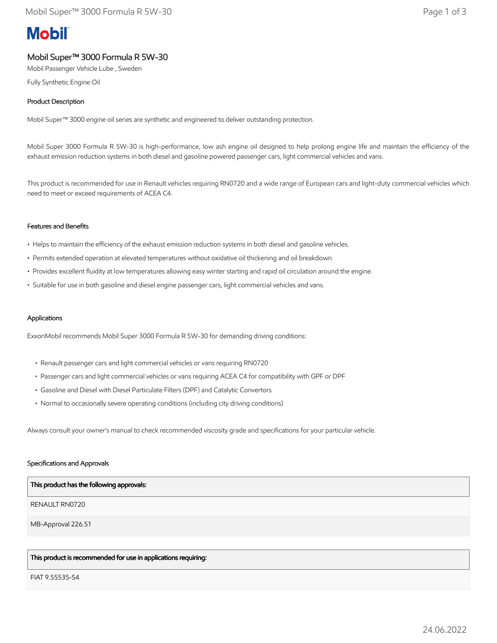# **Mobil**

# Mobil Super™ 3000 Formula R 5W-30

Mobil Passenger Vehicle Lube , Sweden

Fully Synthetic Engine Oil

# Product Description

Mobil Super™ 3000 engine oil series are synthetic and engineered to deliver outstanding protection.

Mobil Super 3000 Formula R 5W-30 is high-performance, low ash engine oil designed to help prolong engine life and maintain the efficiency of the exhaust emission reduction systems in both diesel and gasoline powered passenger cars, light commercial vehicles and vans.

This product is recommended for use in Renault vehicles requiring RN0720 and a wide range of European cars and light-duty commercial vehicles which need to meet or exceed requirements of ACEA C4.

#### Features and Benefits

- Helps to maintain the efficiency of the exhaust emission reduction systems in both diesel and gasoline vehicles.
- Permits extended operation at elevated temperatures without oxidative oil thickening and oil breakdown.
- Provides excellent fluidity at low temperatures allowing easy winter starting and rapid oil circulation around the engine.
- Suitable for use in both gasoline and diesel engine passenger cars, light commercial vehicles and vans.

#### Applications

ExxonMobil recommends Mobil Super 3000 Formula R 5W-30 for demanding driving conditions:

- Renault passenger cars and light commercial vehicles or vans requiring RN0720
- Passenger cars and light commercial vehicles or vans requiring ACEA C4 for compatibility with GPF or DPF
- Gasoline and Diesel with Diesel Particulate Filters (DPF) and Catalytic Convertors
- Normal to occasionally severe operating conditions (including city driving conditions)

Always consult your owner's manual to check recommended viscosity grade and specifications for your particular vehicle.

#### Specifications and Approvals

| This product has the following approvals: |
|-------------------------------------------|
| RENAULT RN0720                            |
| MB-Approval 226.51                        |
|                                           |

# This product is recommended for use in applications requiring:

FIAT 9.55535-S4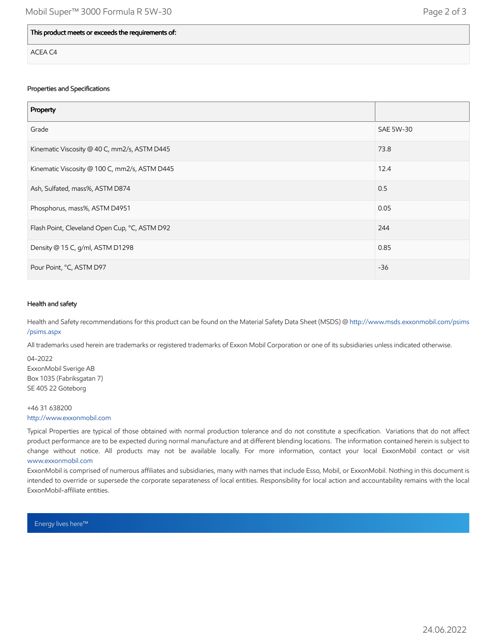### This product meets or exceeds the requirements of:

ACEA C4

#### Properties and Specifications

| Property                                      |           |
|-----------------------------------------------|-----------|
| Grade                                         | SAE 5W-30 |
| Kinematic Viscosity @ 40 C, mm2/s, ASTM D445  | 73.8      |
| Kinematic Viscosity @ 100 C, mm2/s, ASTM D445 | 12.4      |
| Ash, Sulfated, mass%, ASTM D874               | 0.5       |
| Phosphorus, mass%, ASTM D4951                 | 0.05      |
| Flash Point, Cleveland Open Cup, °C, ASTM D92 | 244       |
| Density @ 15 C, g/ml, ASTM D1298              | 0.85      |
| Pour Point, °C, ASTM D97                      | $-36$     |

#### Health and safety

Health and Safety recommendations for this product can be found on the Material Safety Data Sheet (MSDS) @ [http://www.msds.exxonmobil.com/psims](http://www.msds.exxonmobil.com/psims/psims.aspx) /psims.aspx

All trademarks used herein are trademarks or registered trademarks of Exxon Mobil Corporation or one of its subsidiaries unless indicated otherwise.

04-2022 ExxonMobil Sverige AB Box 1035 (Fabriksgatan 7) SE 405 22 Göteborg

# +46 31 638200 [http://www.exxonmobil.com](http://www.exxonmobil.com/)

Typical Properties are typical of those obtained with normal production tolerance and do not constitute a specification. Variations that do not affect product performance are to be expected during normal manufacture and at different blending locations. The information contained herein is subject to change without notice. All products may not be available locally. For more information, contact your local ExxonMobil contact or visit [www.exxonmobil.com](http://www.exxonmobil.com/)

ExxonMobil is comprised of numerous affiliates and subsidiaries, many with names that include Esso, Mobil, or ExxonMobil. Nothing in this document is intended to override or supersede the corporate separateness of local entities. Responsibility for local action and accountability remains with the local ExxonMobil-affiliate entities.

Energy lives here™